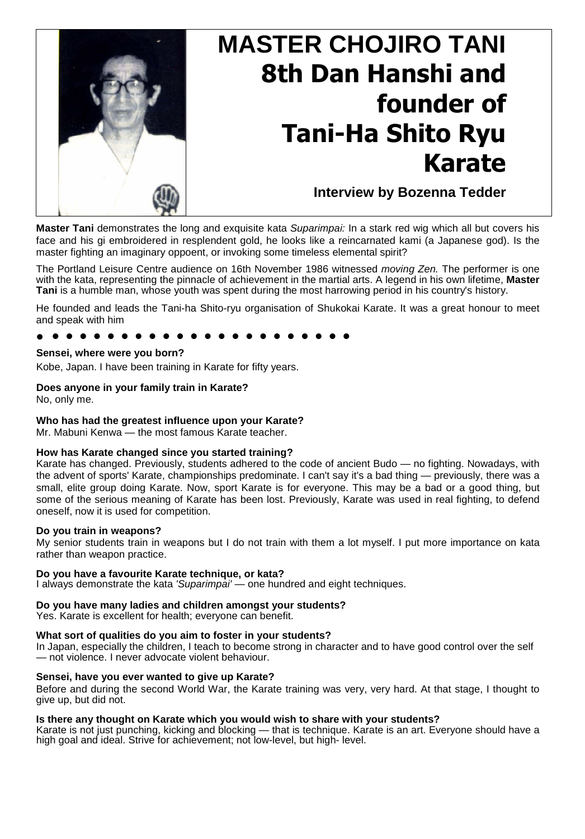

# **MASTER CHOJIRO TANI 8th Dan Hanshi and founder of Tani-Ha Shito Ryu Karate**

**Interview by Bozenna Tedder**

**Master Tani** demonstrates the long and exquisite kata *Suparimpai:* In a stark red wig which all but covers his face and his gi embroidered in resplendent gold, he looks like a reincarnated kami (a Japanese god). Is the master fighting an imaginary oppoent, or invoking some timeless elemental spirit?

The Portland Leisure Centre audience on 16th November 1986 witnessed *moving Zen.* The performer is one with the kata, representing the pinnacle of achievement in the martial arts. A legend in his own lifetime, **Master Tani** is a humble man, whose youth was spent during the most harrowing period in his country's history.

He founded and leads the Tani-ha Shito-ryu organisation of Shukokai Karate. It was a great honour to meet and speak with him

# • • • • • • • • • • • • • • • • • • • • • •

#### **Sensei, where were you born?**

Kobe, Japan. I have been training in Karate for fifty years.

# **Does anyone in your family train in Karate?**

No, only me.

### **Who has had the greatest influence upon your Karate?**

Mr. Mabuni Kenwa — the most famous Karate teacher.

#### **How has Karate changed since you started training?**

Karate has changed. Previously, students adhered to the code of ancient Budo — no fighting. Nowadays, with the advent of sports' Karate, championships predominate. I can't say it's a bad thing — previously, there was a small, elite group doing Karate. Now, sport Karate is for everyone. This may be a bad or a good thing, but some of the serious meaning of Karate has been lost. Previously, Karate was used in real fighting, to defend oneself, now it is used for competition.

#### **Do you train in weapons?**

My senior students train in weapons but I do not train with them a lot myself. I put more importance on kata rather than weapon practice.

#### **Do you have a favourite Karate technique, or kata?**

I always demonstrate the kata *'Suparimpai' —* one hundred and eight techniques.

#### **Do you have many ladies and children amongst your students?**

Yes. Karate is excellent for health; everyone can benefit.

#### **What sort of qualities do you aim to foster in your students?**

In Japan, especially the children, I teach to become strong in character and to have good control over the self — not violence. I never advocate violent behaviour.

#### **Sensei, have you ever wanted to give up Karate?**

Before and during the second World War, the Karate training was very, very hard. At that stage, I thought to give up, but did not.

## **Is there any thought on Karate which you would wish to share with your students?**

Karate is not just punching, kicking and blocking — that is technique. Karate is an art. Everyone should have a high goal and ideal. Strive for achievement; not low-level, but high- level.